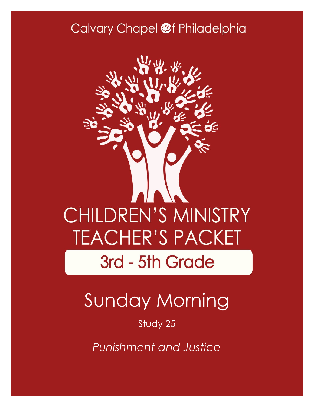### Calvary Chapel @f Philadelphia



# Sunday Morning

Study 25

*Punishment and Justice*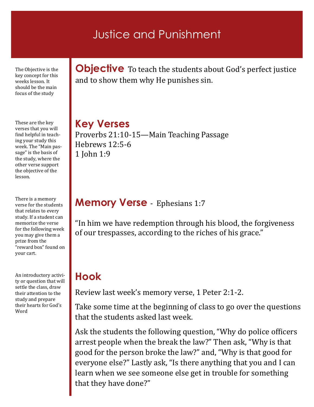### Justice and Punishment

The Objective is the key concept for this weeks lesson. It should be the main focus of the study

These are the key verses that you will find helpful in teaching your study this week. The "Main passage" is the basis of the study, where the other verse support the objective of the lesson.

There is a memory verse for the students that relates to every study. If a student can memorize the verse for the following week you may give them a prize from the "reward box" found on your cart.

An introductory activity or question that will settle the class, draw their attention to the study and prepare their hearts for God's Word

**Objective** To teach the students about God's perfect justice and to show them why He punishes sin.

**Key Verses** Proverbs 21:10-15—Main Teaching Passage Hebrews 12:5-6 1 John 1:9

### **Memory Verse** - Ephesians 1:7

"In him we have redemption through his blood, the forgiveness of our trespasses, according to the riches of his grace."

### **Hook**

Review last week's memory verse, 1 Peter 2:1-2.

Take some time at the beginning of class to go over the questions that the students asked last week.

Ask the students the following question, "Why do police officers arrest people when the break the law?" Then ask, "Why is that good for the person broke the law?" and, "Why is that good for everyone else?" Lastly ask, "Is there anything that you and I can learn when we see someone else get in trouble for something that they have done?"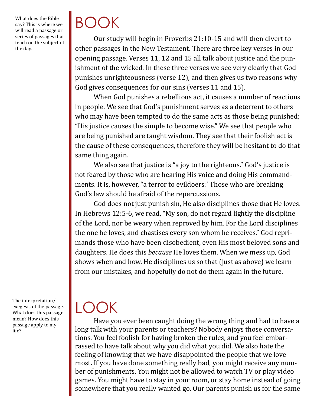What does the Bible say? This is where we will read a passage or series of passages that teach on the subject of the day.

## BOOK

Our study will begin in Proverbs 21:10-15 and will then divert to other passages in the New Testament. There are three key verses in our opening passage. Verses 11, 12 and 15 all talk about justice and the punishment of the wicked. In these three verses we see very clearly that God punishes unrighteousness (verse 12), and then gives us two reasons why God gives consequences for our sins (verses 11 and 15).

When God punishes a rebellious act, it causes a number of reactions in people. We see that God's punishment serves as a deterrent to others who may have been tempted to do the same acts as those being punished; "His justice causes the simple to become wise." We see that people who are being punished are taught wisdom. They see that their foolish act is the cause of these consequences, therefore they will be hesitant to do that same thing again.

We also see that justice is "a joy to the righteous." God's justice is not feared by those who are hearing His voice and doing His commandments. It is, however, "a terror to evildoers." Those who are breaking God's law should be afraid of the repercussions.

God does not just punish sin, He also disciplines those that He loves. In Hebrews 12:5-6, we read, "My son, do not regard lightly the discipline of the Lord, nor be weary when reproved by him. For the Lord disciplines the one he loves, and chastises every son whom he receives." God reprimands those who have been disobedient, even His most beloved sons and daughters. He does this *because* He loves them. When we mess up, God shows when and how. He disciplines us so that (just as above) we learn from our mistakes, and hopefully do not do them again in the future.

The interpretation/ exegesis of the passage. What does this passage mean? How does this passage apply to my life?

## LOOK

Have you ever been caught doing the wrong thing and had to have a long talk with your parents or teachers? Nobody enjoys those conversations. You feel foolish for having broken the rules, and you feel embarrassed to have talk about why you did what you did. We also hate the feeling of knowing that we have disappointed the people that we love most. If you have done something really bad, you might receive any number of punishments. You might not be allowed to watch TV or play video games. You might have to stay in your room, or stay home instead of going somewhere that you really wanted go. Our parents punish us for the same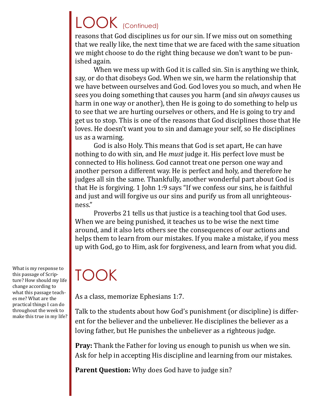## LOOK (Continued)

reasons that God disciplines us for our sin. If we miss out on something that we really like, the next time that we are faced with the same situation we might choose to do the right thing because we don't want to be punished again.

When we mess up with God it is called sin. Sin is anything we think, say, or do that disobeys God. When we sin, we harm the relationship that we have between ourselves and God. God loves you so much, and when He sees you doing something that causes you harm (and sin *always* causes us harm in one way or another), then He is going to do something to help us to see that we are hurting ourselves or others, and He is going to try and get us to stop. This is one of the reasons that God disciplines those that He loves. He doesn't want you to sin and damage your self, so He disciplines us as a warning.

God is also Holy. This means that God is set apart, He can have nothing to do with sin, and He *must* judge it. His perfect love must be connected to His holiness. God cannot treat one person one way and another person a different way. He is perfect and holy, and therefore he judges all sin the same. Thankfully, another wonderful part about God is that He is forgiving. 1 John 1:9 says "If we confess our sins, he is faithful and just and will forgive us our sins and purify us from all unrighteousness."

Proverbs 21 tells us that justice is a teaching tool that God uses. When we are being punished, it teaches us to be wise the next time around, and it also lets others see the consequences of our actions and helps them to learn from our mistakes. If you make a mistake, if you mess up with God, go to Him, ask for forgiveness, and learn from what you did.

## TOOK

As a class, memorize Ephesians 1:7.

Talk to the students about how God's punishment (or discipline) is different for the believer and the unbeliever. He disciplines the believer as a loving father, but He punishes the unbeliever as a righteous judge.

**Pray:** Thank the Father for loving us enough to punish us when we sin. Ask for help in accepting His discipline and learning from our mistakes.

**Parent Question:** Why does God have to judge sin?

What is my response to this passage of Scripture? How should my life change according to what this passage teaches me? What are the practical things I can do throughout the week to make this true in my life?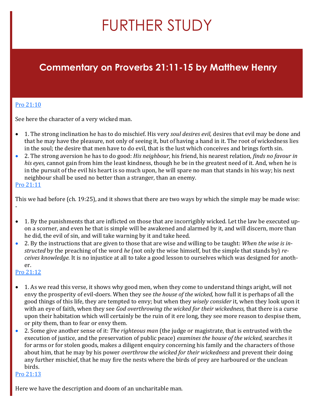## FURTHER STUDY

### **Commentary on Proverbs 21:11-15 by Matthew Henry**

#### [Pro 21:10](https://www.blueletterbible.org/kjv/proverbs/21/10/s_649010)

See here the character of a very wicked man.

- 1. The strong inclination he has to do mischief. His very *soul desires evil,* desires that evil may be done and that he may have the pleasure, not only of seeing it, but of having a hand in it. The root of wickedness lies in the soul; the desire that men have to do evil, that is the lust which conceives and brings forth sin.
- 2. The strong aversion he has to do good: *His neighbour,* his friend, his nearest relation, *finds no favour in his eyes,* cannot gain from him the least kindness, though he be in the greatest need of it. And, when he is in the pursuit of the evil his heart is so much upon, he will spare no man that stands in his way; his next neighbour shall be used no better than a stranger, than an enemy.

#### [Pro 21:11](https://www.blueletterbible.org/kjv/proverbs/21/11/s_649011)

This we had before (ch. 19:25), and it shows that there are two ways by which the simple may be made wise: -

- 1. By the punishments that are inflicted on those that are incorrigibly wicked. Let the law be executed upon a scorner, and even he that is simple will be awakened and alarmed by it, and will discern, more than he did, the evil of sin, and will take warning by it and take heed.
- 2. By the instructions that are given to those that are wise and willing to be taught: *When the wise is instructed* by the preaching of the word *he* (not only the wise himself, but the simple that stands by) *receives knowledge.* It is no injustice at all to take a good lesson to ourselves which was designed for another[.](https://www.blueletterbible.org/kjv/proverbs/21/12/s_649012)

#### [Pro 21:12](https://www.blueletterbible.org/kjv/proverbs/21/12/s_649012)

- 1. As we read this verse, it shows why good men, when they come to understand things aright, will not envy the prosperity of evil-doers. When they see *the house of the wicked,* how full it is perhaps of all the good things of this life, they are tempted to envy; but when they *wisely consider* it, when they look upon it with an eye of faith, when they see *God overthrowing the wicked for their wickedness,* that there is a curse upon their habitation which will certainly be the ruin of it ere long, they see more reason to despise them, or pity them, than to fear or envy them.
- 2. Some give another sense of it: *The righteous man* (the judge or magistrate, that is entrusted with the execution of justice, and the preservation of public peace) *examines the house of the wicked,* searches it for arms or for stolen goods, makes a diligent enquiry concerning his family and the characters of those about him, that he may by his power *overthrow the wicked for their wickedness* and prevent their doing any further mischief, that he may fire the nests where the birds of prey are harboured or the unclean birds.

#### [Pro 21:13](https://www.blueletterbible.org/kjv/proverbs/21/13/s_649013)

Here we have the description and doom of an uncharitable man.